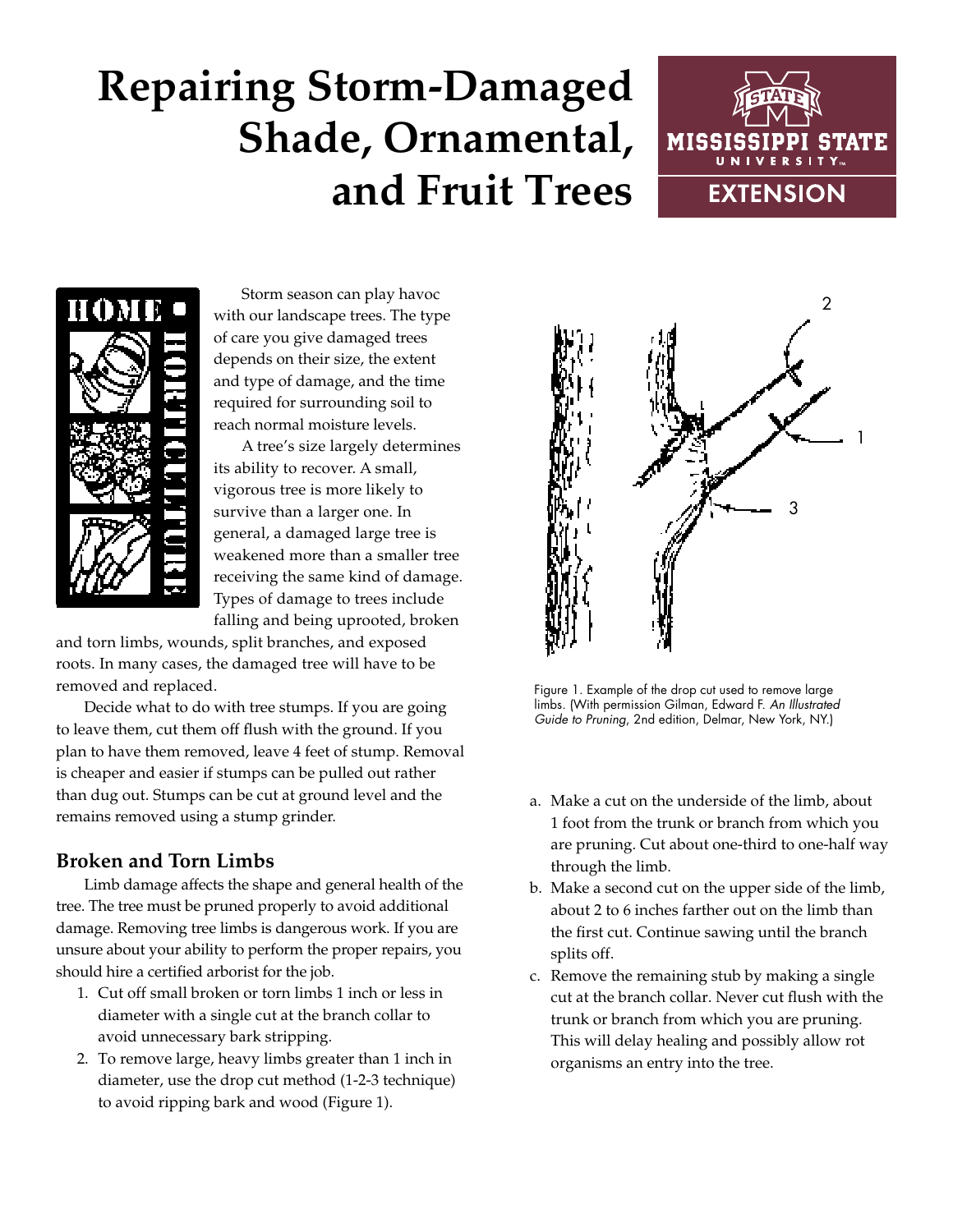# **Repairing Storm-Damaged Shade, Ornamental, and Fruit Trees**





Storm season can play havoc with our landscape trees. The type of care you give damaged trees depends on their size, the extent and type of damage, and the time required for surrounding soil to reach normal moisture levels.

A tree's size largely determines its ability to recover. A small, vigorous tree is more likely to survive than a larger one. In general, a damaged large tree is weakened more than a smaller tree receiving the same kind of damage. Types of damage to trees include falling and being uprooted, broken

and torn limbs, wounds, split branches, and exposed roots. In many cases, the damaged tree will have to be removed and replaced.

Decide what to do with tree stumps. If you are going to leave them, cut them off flush with the ground. If you plan to have them removed, leave 4 feet of stump. Removal is cheaper and easier if stumps can be pulled out rather than dug out. Stumps can be cut at ground level and the remains removed using a stump grinder.

## **Broken and Torn Limbs**

Limb damage affects the shape and general health of the tree. The tree must be pruned properly to avoid additional damage. Removing tree limbs is dangerous work. If you are unsure about your ability to perform the proper repairs, you should hire a certified arborist for the job.

- 1. Cut off small broken or torn limbs 1 inch or less in diameter with a single cut at the branch collar to avoid unnecessary bark stripping.
- 2. To remove large, heavy limbs greater than 1 inch in diameter, use the drop cut method (1-2-3 technique) to avoid ripping bark and wood (Figure 1).



Figure 1. Example of the drop cut used to remove large limbs. (With permission Gilman, Edward F. *An Illustrated Guide to Pruning*, 2nd edition, Delmar, New York, NY.)

- a. Make a cut on the underside of the limb, about 1 foot from the trunk or branch from which you are pruning. Cut about one-third to one-half way through the limb.
- b. Make a second cut on the upper side of the limb, about 2 to 6 inches farther out on the limb than the first cut. Continue sawing until the branch splits off.
- c. Remove the remaining stub by making a single cut at the branch collar. Never cut flush with the trunk or branch from which you are pruning. This will delay healing and possibly allow rot organisms an entry into the tree.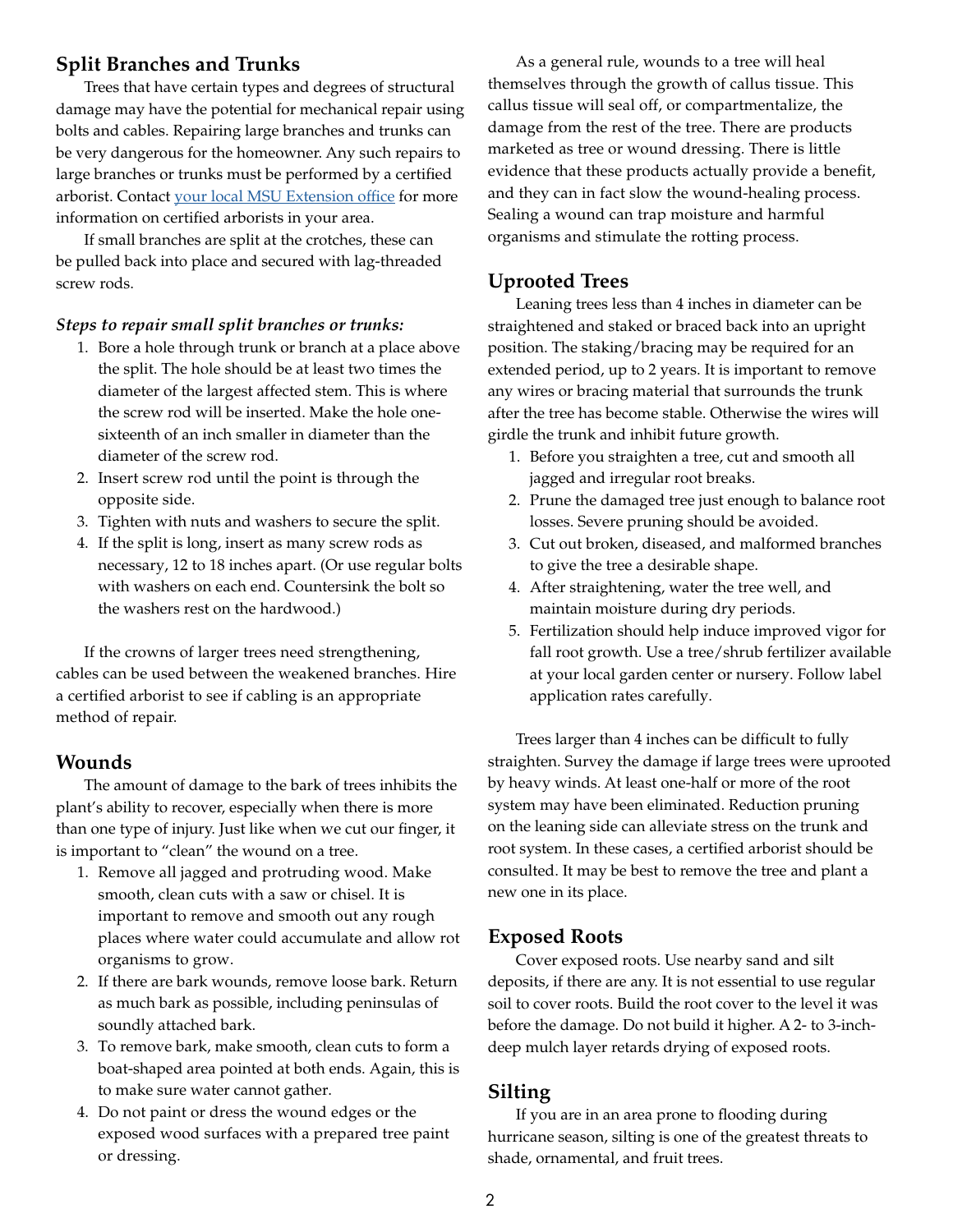#### **Split Branches and Trunks**

Trees that have certain types and degrees of structural damage may have the potential for mechanical repair using bolts and cables. Repairing large branches and trunks can be very dangerous for the homeowner. Any such repairs to large branches or trunks must be performed by a certified arborist. Contact [your local MSU Extension office](http://extension.msstate.edu/county-offices) for more information on certified arborists in your area.

If small branches are split at the crotches, these can be pulled back into place and secured with lag-threaded screw rods.

#### *Steps to repair small split branches or trunks:*

- 1. Bore a hole through trunk or branch at a place above the split. The hole should be at least two times the diameter of the largest affected stem. This is where the screw rod will be inserted. Make the hole onesixteenth of an inch smaller in diameter than the diameter of the screw rod.
- 2. Insert screw rod until the point is through the opposite side.
- 3. Tighten with nuts and washers to secure the split.
- 4. If the split is long, insert as many screw rods as necessary, 12 to 18 inches apart. (Or use regular bolts with washers on each end. Countersink the bolt so the washers rest on the hardwood.)

If the crowns of larger trees need strengthening, cables can be used between the weakened branches. Hire a certified arborist to see if cabling is an appropriate method of repair.

#### **Wounds**

The amount of damage to the bark of trees inhibits the plant's ability to recover, especially when there is more than one type of injury. Just like when we cut our finger, it is important to "clean" the wound on a tree.

- 1. Remove all jagged and protruding wood. Make smooth, clean cuts with a saw or chisel. It is important to remove and smooth out any rough places where water could accumulate and allow rot organisms to grow.
- 2. If there are bark wounds, remove loose bark. Return as much bark as possible, including peninsulas of soundly attached bark.
- 3. To remove bark, make smooth, clean cuts to form a boat-shaped area pointed at both ends. Again, this is to make sure water cannot gather.
- 4. Do not paint or dress the wound edges or the exposed wood surfaces with a prepared tree paint or dressing.

As a general rule, wounds to a tree will heal themselves through the growth of callus tissue. This callus tissue will seal off, or compartmentalize, the damage from the rest of the tree. There are products marketed as tree or wound dressing. There is little evidence that these products actually provide a benefit, and they can in fact slow the wound-healing process. Sealing a wound can trap moisture and harmful organisms and stimulate the rotting process.

#### **Uprooted Trees**

Leaning trees less than 4 inches in diameter can be straightened and staked or braced back into an upright position. The staking/bracing may be required for an extended period, up to 2 years. It is important to remove any wires or bracing material that surrounds the trunk after the tree has become stable. Otherwise the wires will girdle the trunk and inhibit future growth.

- 1. Before you straighten a tree, cut and smooth all jagged and irregular root breaks.
- 2. Prune the damaged tree just enough to balance root losses. Severe pruning should be avoided.
- 3. Cut out broken, diseased, and malformed branches to give the tree a desirable shape.
- 4. After straightening, water the tree well, and maintain moisture during dry periods.
- 5. Fertilization should help induce improved vigor for fall root growth. Use a tree/shrub fertilizer available at your local garden center or nursery. Follow label application rates carefully.

Trees larger than 4 inches can be difficult to fully straighten. Survey the damage if large trees were uprooted by heavy winds. At least one-half or more of the root system may have been eliminated. Reduction pruning on the leaning side can alleviate stress on the trunk and root system. In these cases, a certified arborist should be consulted. It may be best to remove the tree and plant a new one in its place.

#### **Exposed Roots**

Cover exposed roots. Use nearby sand and silt deposits, if there are any. It is not essential to use regular soil to cover roots. Build the root cover to the level it was before the damage. Do not build it higher. A 2- to 3-inchdeep mulch layer retards drying of exposed roots.

#### **Silting**

If you are in an area prone to flooding during hurricane season, silting is one of the greatest threats to shade, ornamental, and fruit trees.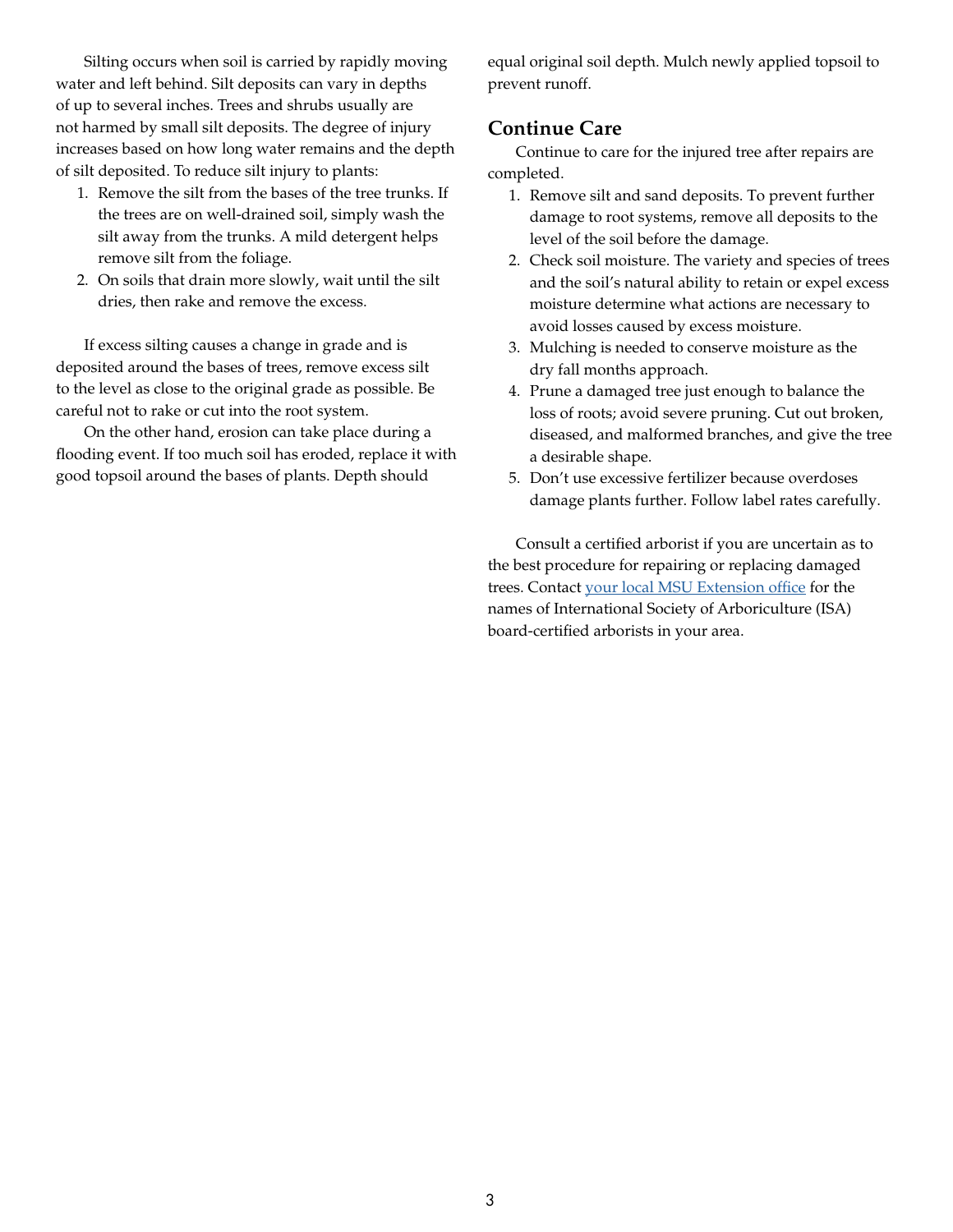Silting occurs when soil is carried by rapidly moving water and left behind. Silt deposits can vary in depths of up to several inches. Trees and shrubs usually are not harmed by small silt deposits. The degree of injury increases based on how long water remains and the depth of silt deposited. To reduce silt injury to plants:

- 1. Remove the silt from the bases of the tree trunks. If the trees are on well-drained soil, simply wash the silt away from the trunks. A mild detergent helps remove silt from the foliage.
- 2. On soils that drain more slowly, wait until the silt dries, then rake and remove the excess.

If excess silting causes a change in grade and is deposited around the bases of trees, remove excess silt to the level as close to the original grade as possible. Be careful not to rake or cut into the root system.

On the other hand, erosion can take place during a flooding event. If too much soil has eroded, replace it with good topsoil around the bases of plants. Depth should

equal original soil depth. Mulch newly applied topsoil to prevent runoff.

### **Continue Care**

Continue to care for the injured tree after repairs are completed.

- 1. Remove silt and sand deposits. To prevent further damage to root systems, remove all deposits to the level of the soil before the damage.
- 2. Check soil moisture. The variety and species of trees and the soil's natural ability to retain or expel excess moisture determine what actions are necessary to avoid losses caused by excess moisture.
- 3. Mulching is needed to conserve moisture as the dry fall months approach.
- 4. Prune a damaged tree just enough to balance the loss of roots; avoid severe pruning. Cut out broken, diseased, and malformed branches, and give the tree a desirable shape.
- 5. Don't use excessive fertilizer because overdoses damage plants further. Follow label rates carefully.

Consult a certified arborist if you are uncertain as to the best procedure for repairing or replacing damaged trees. Contact [your local MSU Extension office](http://extension.msstate.edu/county-offices) for the names of International Society of Arboriculture (ISA) board-certified arborists in your area.